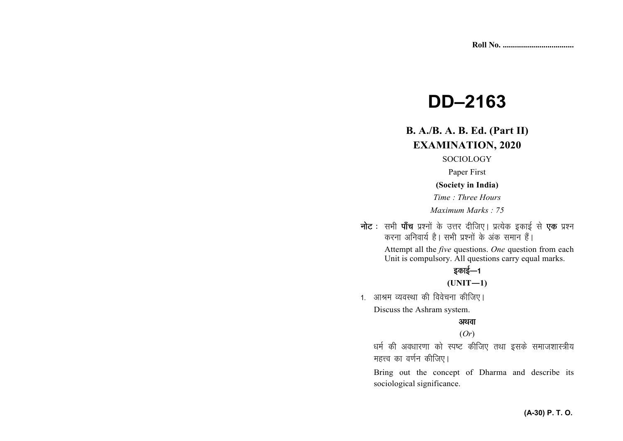# **DD–2163**

## **B. A./B. A. B. Ed. (Part II) EXAMINATION, 2020**

#### SOCIOLOGY

Paper First

#### **(Society in India)**

*Time : Three Hours* 

*Maximum Marks : 75*

नोट : सभी पाँच प्रश्नों के उत्तर दीजिए। प्रत्येक इकाई से **एक** प्रश्न करना अनिवार्य है। सभी प्रश्नों के अंक समान हैं।

> Attempt all the *five* questions. *One* question from each Unit is compulsory. All questions carry equal marks.

### डकाई—1

 $(UNIT-1)$ 

1. आश्रम व्यवस्था की विवेचना कीजिए। Discuss the Ashram system.

#### अथवा

#### (*Or*)

धर्म की अवधारणा को स्पष्ट कीजिए तथा इसके समाजशास्त्रीय महत्त्व का वर्णन कीजिए।

Bring out the concept of Dharma and describe its sociological significance.